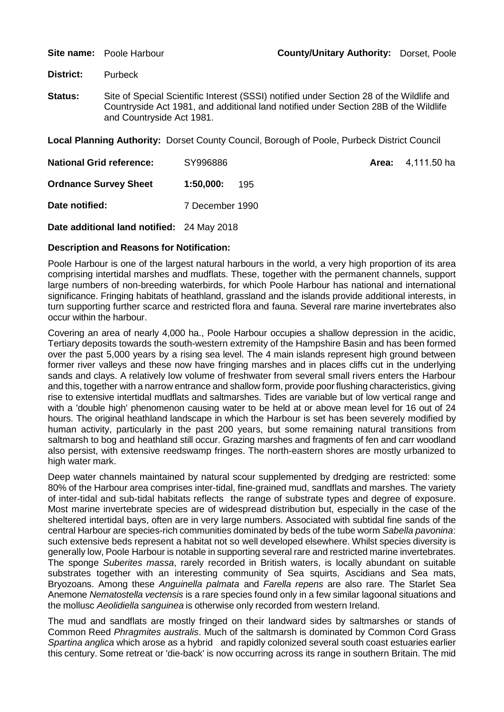**District:** Purbeck

**Status:** Site of Special Scientific Interest (SSSI) notified under Section 28 of the Wildlife and Countryside Act 1981, and additional land notified under Section 28B of the Wildlife and Countryside Act 1981.

**Local Planning Authority:** Dorset County Council, Borough of Poole, Purbeck District Council

| <b>National Grid reference:</b>            | SY996886         | <b>Area:</b> 4,111.50 ha |
|--------------------------------------------|------------------|--------------------------|
| <b>Ordnance Survey Sheet</b>               | 1:50.000:<br>195 |                          |
| Date notified:                             | 7 December 1990  |                          |
| Date additional land notified: 24 May 2018 |                  |                          |

## **Description and Reasons for Notification:**

Poole Harbour is one of the largest natural harbours in the world, a very high proportion of its area comprising intertidal marshes and mudflats. These, together with the permanent channels, support large numbers of non-breeding waterbirds, for which Poole Harbour has national and international significance. Fringing habitats of heathland, grassland and the islands provide additional interests, in turn supporting further scarce and restricted flora and fauna. Several rare marine invertebrates also occur within the harbour.

Covering an area of nearly 4,000 ha., Poole Harbour occupies a shallow depression in the acidic, Tertiary deposits towards the south-western extremity of the Hampshire Basin and has been formed over the past 5,000 years by a rising sea level. The 4 main islands represent high ground between former river valleys and these now have fringing marshes and in places cliffs cut in the underlying sands and clays. A relatively low volume of freshwater from several small rivers enters the Harbour and this, together with a narrow entrance and shallow form, provide poor flushing characteristics, giving rise to extensive intertidal mudflats and saltmarshes. Tides are variable but of low vertical range and with a 'double high' phenomenon causing water to be held at or above mean level for 16 out of 24 hours. The original heathland landscape in which the Harbour is set has been severely modified by human activity, particularly in the past 200 years, but some remaining natural transitions from saltmarsh to bog and heathland still occur. Grazing marshes and fragments of fen and carr woodland also persist, with extensive reedswamp fringes. The north-eastern shores are mostly urbanized to high water mark.

Deep water channels maintained by natural scour supplemented by dredging are restricted: some 80% of the Harbour area comprises inter-tidal, fine-grained mud, sandflats and marshes. The variety of inter-tidal and sub-tidal habitats reflects the range of substrate types and degree of exposure. Most marine invertebrate species are of widespread distribution but, especially in the case of the sheltered intertidal bays, often are in very large numbers. Associated with subtidal fine sands of the central Harbour are species-rich communities dominated by beds of the tube worm *Sabella pavonina*: such extensive beds represent a habitat not so well developed elsewhere. Whilst species diversity is generally low, Poole Harbour is notable in supporting several rare and restricted marine invertebrates. The sponge *Suberites massa*, rarely recorded in British waters, is locally abundant on suitable substrates together with an interesting community of Sea squirts, Ascidians and Sea mats, Bryozoans. Among these *Anguinella palmata* and *Farella repens* are also rare. The Starlet Sea Anemone *Nematostella vectensis* is a rare species found only in a few similar lagoonal situations and the mollusc *Aeolidiella sanguinea* is otherwise only recorded from western Ireland.

The mud and sandflats are mostly fringed on their landward sides by saltmarshes or stands of Common Reed *Phragmites australis*. Much of the saltmarsh is dominated by Common Cord Grass *Spartina anglica* which arose as a hybrid and rapidly colonized several south coast estuaries earlier this century. Some retreat or 'die-back' is now occurring across its range in southern Britain. The mid